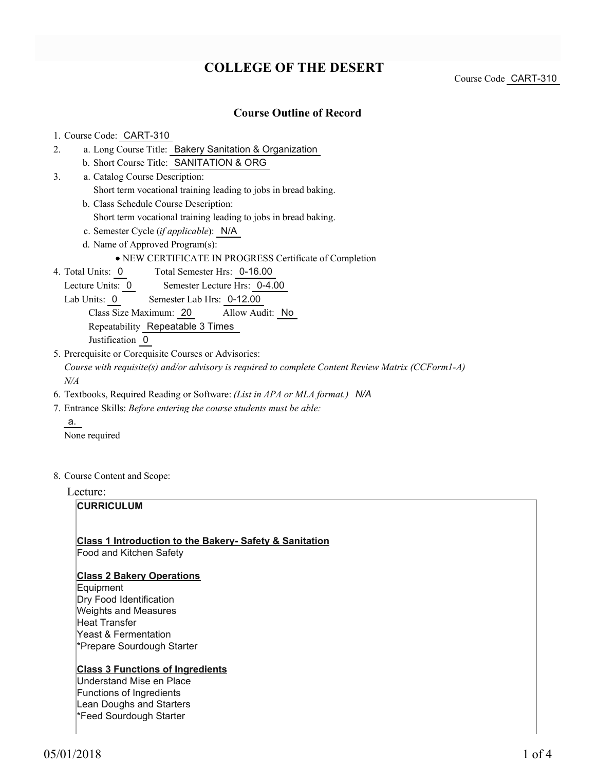## **COLLEGE OF THE DESERT**

Course Code CART-310

#### **Course Outline of Record**

#### 1. Course Code: CART-310

- a. Long Course Title: Bakery Sanitation & Organization 2.
	- b. Short Course Title: SANITATION & ORG
- Catalog Course Description: a. 3.
	- Short term vocational training leading to jobs in bread baking.
	- b. Class Schedule Course Description:
		- Short term vocational training leading to jobs in bread baking.
	- c. Semester Cycle (*if applicable*): N/A
	- d. Name of Approved Program(s):

#### NEW CERTIFICATE IN PROGRESS Certificate of Completion

- Total Semester Hrs: 0-16.00 4. Total Units: 0
	- Lecture Units: 0 Semester Lecture Hrs: 0-4.00
	- Lab Units: 0 Semester Lab Hrs: 0-12.00

Class Size Maximum: 20 Allow Audit: No

Repeatability Repeatable 3 Times

Justification 0

- 5. Prerequisite or Corequisite Courses or Advisories: *Course with requisite(s) and/or advisory is required to complete Content Review Matrix (CCForm1-A) N/A*
- 6. Textbooks, Required Reading or Software: *(List in APA or MLA format.) N/A*
- Entrance Skills: *Before entering the course students must be able:* 7.
	- a. None required
- 8. Course Content and Scope:

Lecture:

#### **CURRICULUM**

#### **Class 1 Introduction to the Bakery- Safety & Sanitation**

Food and Kitchen Safety

#### **Class 2 Bakery Operations**

Equipment Dry Food Identification Weights and Measures Heat Transfer Yeast & Fermentation \*Prepare Sourdough Starter

#### **Class 3 Functions of Ingredients**

Understand Mise en Place Functions of Ingredients Lean Doughs and Starters \*Feed Sourdough Starter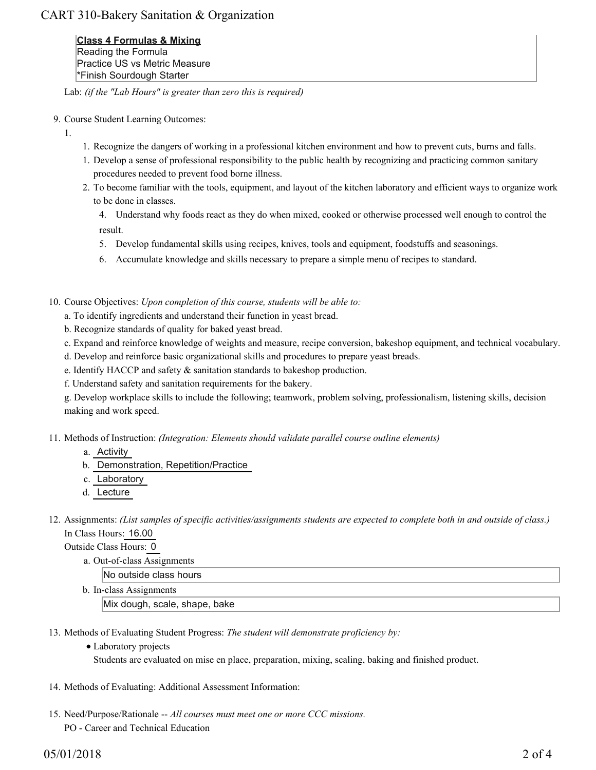### CART 310-Bakery Sanitation & Organization

**Class 4 Formulas & Mixing** Reading the Formula Practice US vs Metric Measure \*Finish Sourdough Starter

Lab: *(if the "Lab Hours" is greater than zero this is required)*

- 9. Course Student Learning Outcomes:
	- 1.
- 1. Recognize the dangers of working in a professional kitchen environment and how to prevent cuts, burns and falls.
- 1. Develop a sense of professional responsibility to the public health by recognizing and practicing common sanitary procedures needed to prevent food borne illness.
- 2. To become familiar with the tools, equipment, and layout of the kitchen laboratory and efficient ways to organize work to be done in classes.

4. Understand why foods react as they do when mixed, cooked or otherwise processed well enough to control the result.

- 5. Develop fundamental skills using recipes, knives, tools and equipment, foodstuffs and seasonings.
- 6. Accumulate knowledge and skills necessary to prepare a simple menu of recipes to standard.
- 10. Course Objectives: Upon completion of this course, students will be able to:
	- a. To identify ingredients and understand their function in yeast bread.
	- b. Recognize standards of quality for baked yeast bread.
	- c. Expand and reinforce knowledge of weights and measure, recipe conversion, bakeshop equipment, and technical vocabulary.
	- d. Develop and reinforce basic organizational skills and procedures to prepare yeast breads.
	- e. Identify HACCP and safety & sanitation standards to bakeshop production.
	- f. Understand safety and sanitation requirements for the bakery.

g. Develop workplace skills to include the following; teamwork, problem solving, professionalism, listening skills, decision making and work speed.

11. Methods of Instruction: *(Integration: Elements should validate parallel course outline elements)* 

- a. Activity
- b. Demonstration, Repetition/Practice
- c. Laboratory
- d. Lecture
- 12. Assignments: (List samples of specific activities/assignments students are expected to complete both in and outside of class.) In Class Hours: 16.00

Outside Class Hours: 0

a. Out-of-class Assignments

No outside class hours

b. In-class Assignments

Mix dough, scale, shape, bake

- 13. Methods of Evaluating Student Progress: The student will demonstrate proficiency by:
	- Laboratory projects Students are evaluated on mise en place, preparation, mixing, scaling, baking and finished product.
- 14. Methods of Evaluating: Additional Assessment Information:
- 15. Need/Purpose/Rationale -- All courses must meet one or more CCC missions. PO - Career and Technical Education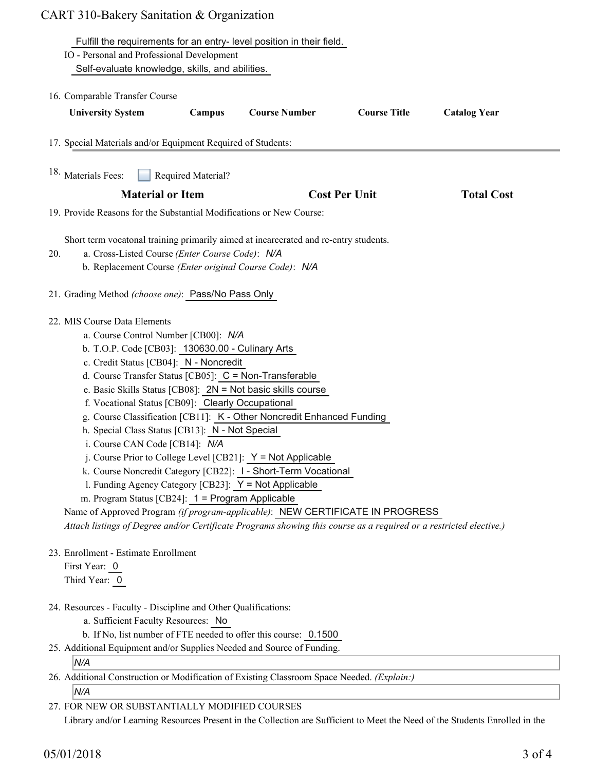|     | Fulfill the requirements for an entry-level position in their field.                                               |
|-----|--------------------------------------------------------------------------------------------------------------------|
|     | IO - Personal and Professional Development                                                                         |
|     | Self-evaluate knowledge, skills, and abilities.                                                                    |
|     | 16. Comparable Transfer Course                                                                                     |
|     | <b>Course Number</b><br><b>Course Title</b><br><b>University System</b><br>Campus<br><b>Catalog Year</b>           |
|     |                                                                                                                    |
|     | 17. Special Materials and/or Equipment Required of Students:                                                       |
|     |                                                                                                                    |
|     | <sup>18.</sup> Materials Fees:<br>Required Material?                                                               |
|     | <b>Material or Item</b><br><b>Cost Per Unit</b><br><b>Total Cost</b>                                               |
|     | 19. Provide Reasons for the Substantial Modifications or New Course:                                               |
|     |                                                                                                                    |
|     | Short term vocatonal training primarily aimed at incarcerated and re-entry students.                               |
| 20. | a. Cross-Listed Course (Enter Course Code): N/A                                                                    |
|     | b. Replacement Course (Enter original Course Code): N/A                                                            |
|     | 21. Grading Method (choose one): Pass/No Pass Only                                                                 |
|     |                                                                                                                    |
|     | 22. MIS Course Data Elements                                                                                       |
|     | a. Course Control Number [CB00]: N/A                                                                               |
|     | b. T.O.P. Code [CB03]: 130630.00 - Culinary Arts                                                                   |
|     | c. Credit Status [CB04]: N - Noncredit                                                                             |
|     | d. Course Transfer Status [CB05]: C = Non-Transferable                                                             |
|     | e. Basic Skills Status [CB08]: 2N = Not basic skills course                                                        |
|     | f. Vocational Status [CB09]: Clearly Occupational                                                                  |
|     | g. Course Classification [CB11]: K - Other Noncredit Enhanced Funding                                              |
|     | h. Special Class Status [CB13]: N - Not Special                                                                    |
|     | i. Course CAN Code [CB14]: N/A                                                                                     |
|     | j. Course Prior to College Level [CB21]: $Y = Not$ Applicable                                                      |
|     | k. Course Noncredit Category [CB22]: I - Short-Term Vocational                                                     |
|     | 1. Funding Agency Category [CB23]: $Y = Not$ Applicable                                                            |
|     | m. Program Status [CB24]: 1 = Program Applicable                                                                   |
|     | Name of Approved Program (if program-applicable): NEW CERTIFICATE IN PROGRESS                                      |
|     | Attach listings of Degree and/or Certificate Programs showing this course as a required or a restricted elective.) |
|     | 23. Enrollment - Estimate Enrollment                                                                               |
|     | First Year: 0                                                                                                      |
|     | Third Year: 0                                                                                                      |
|     |                                                                                                                    |
|     | 24. Resources - Faculty - Discipline and Other Qualifications:                                                     |
|     | a. Sufficient Faculty Resources: No                                                                                |
|     | b. If No, list number of FTE needed to offer this course: 0.1500                                                   |
|     | 25. Additional Equipment and/or Supplies Needed and Source of Funding.<br>N/A                                      |
|     | 26. Additional Construction or Modification of Existing Classroom Space Needed. (Explain:)                         |
|     | N/A                                                                                                                |

FOR NEW OR SUBSTANTIALLY MODIFIED COURSES 27.

Library and/or Learning Resources Present in the Collection are Sufficient to Meet the Need of the Students Enrolled in the